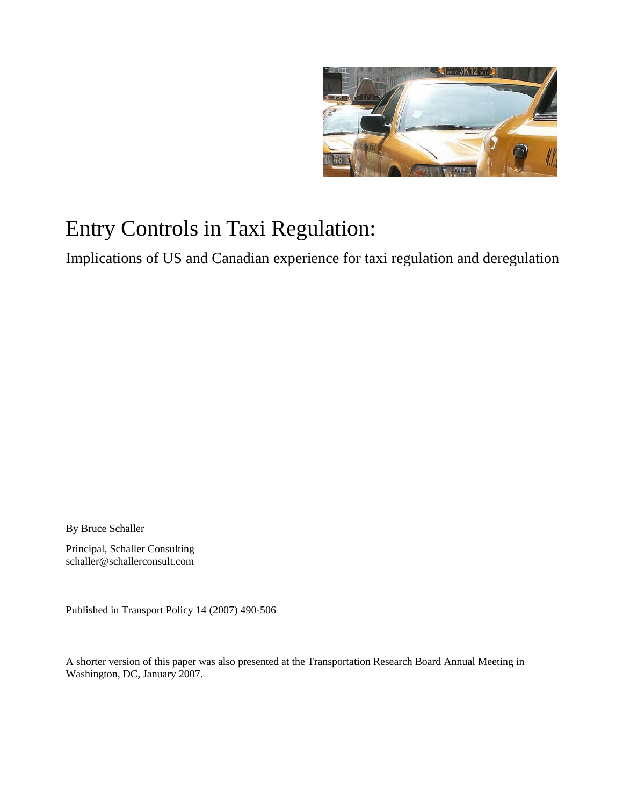

# Entry Controls in Taxi Regulation:

Implications of US and Canadian experience for taxi regulation and deregulation

By Bruce Schaller

Principal, Schaller Consulting schaller@schallerconsult.com

Published in Transport Policy 14 (2007) 490-506

A shorter version of this paper was also presented at the Transportation Research Board Annual Meeting in Washington, DC, January 2007.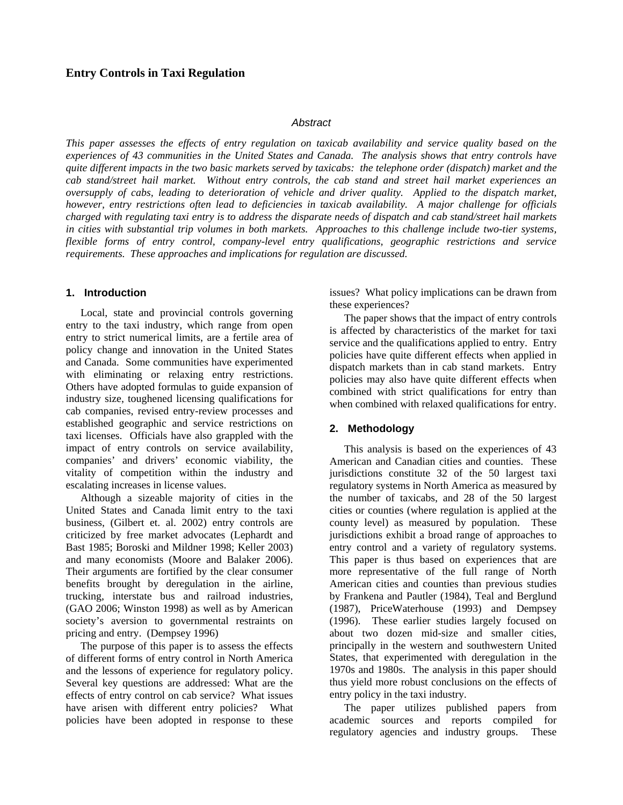## *Abstract*

*This paper assesses the effects of entry regulation on taxicab availability and service quality based on the experiences of 43 communities in the United States and Canada. The analysis shows that entry controls have quite different impacts in the two basic markets served by taxicabs: the telephone order (dispatch) market and the cab stand/street hail market. Without entry controls, the cab stand and street hail market experiences an oversupply of cabs, leading to deterioration of vehicle and driver quality. Applied to the dispatch market, however, entry restrictions often lead to deficiencies in taxicab availability. A major challenge for officials charged with regulating taxi entry is to address the disparate needs of dispatch and cab stand/street hail markets in cities with substantial trip volumes in both markets. Approaches to this challenge include two-tier systems, flexible forms of entry control, company-level entry qualifications, geographic restrictions and service requirements. These approaches and implications for regulation are discussed.* 

# **1. Introduction**

Local, state and provincial controls governing entry to the taxi industry, which range from open entry to strict numerical limits, are a fertile area of policy change and innovation in the United States and Canada. Some communities have experimented with eliminating or relaxing entry restrictions. Others have adopted formulas to guide expansion of industry size, toughened licensing qualifications for cab companies, revised entry-review processes and established geographic and service restrictions on taxi licenses. Officials have also grappled with the impact of entry controls on service availability, companies' and drivers' economic viability, the vitality of competition within the industry and escalating increases in license values.

Although a sizeable majority of cities in the United States and Canada limit entry to the taxi business, (Gilbert et. al. 2002) entry controls are criticized by free market advocates (Lephardt and Bast 1985; Boroski and Mildner 1998; Keller 2003) and many economists (Moore and Balaker 2006). Their arguments are fortified by the clear consumer benefits brought by deregulation in the airline, trucking, interstate bus and railroad industries, (GAO 2006; Winston 1998) as well as by American society's aversion to governmental restraints on pricing and entry. (Dempsey 1996)

The purpose of this paper is to assess the effects of different forms of entry control in North America and the lessons of experience for regulatory policy. Several key questions are addressed: What are the effects of entry control on cab service? What issues have arisen with different entry policies? What policies have been adopted in response to these issues? What policy implications can be drawn from these experiences?

The paper shows that the impact of entry controls is affected by characteristics of the market for taxi service and the qualifications applied to entry. Entry policies have quite different effects when applied in dispatch markets than in cab stand markets. Entry policies may also have quite different effects when combined with strict qualifications for entry than when combined with relaxed qualifications for entry.

# **2. Methodology**

This analysis is based on the experiences of 43 American and Canadian cities and counties. These jurisdictions constitute 32 of the 50 largest taxi regulatory systems in North America as measured by the number of taxicabs, and 28 of the 50 largest cities or counties (where regulation is applied at the county level) as measured by population. These jurisdictions exhibit a broad range of approaches to entry control and a variety of regulatory systems. This paper is thus based on experiences that are more representative of the full range of North American cities and counties than previous studies by Frankena and Pautler (1984), Teal and Berglund (1987), PriceWaterhouse (1993) and Dempsey (1996). These earlier studies largely focused on about two dozen mid-size and smaller cities, principally in the western and southwestern United States, that experimented with deregulation in the 1970s and 1980s. The analysis in this paper should thus yield more robust conclusions on the effects of entry policy in the taxi industry.

The paper utilizes published papers from academic sources and reports compiled for regulatory agencies and industry groups. These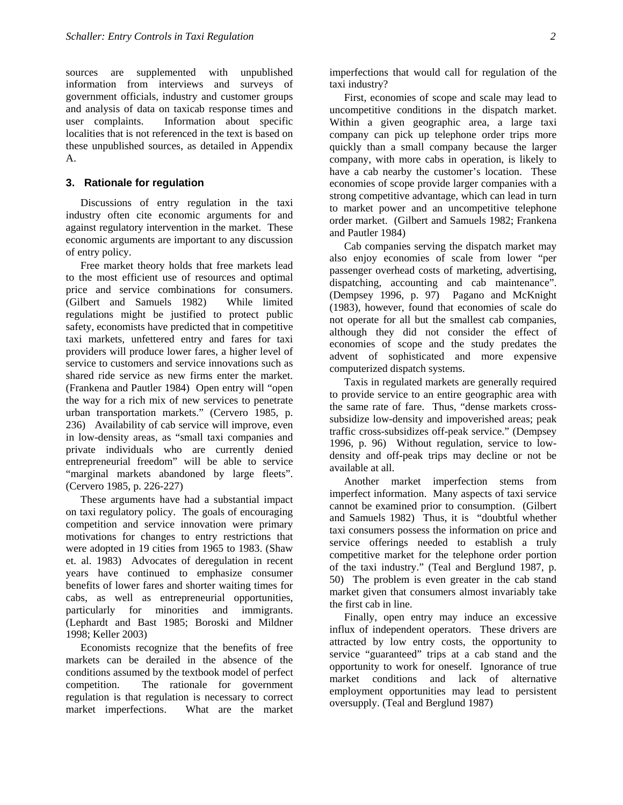sources are supplemented with unpublished information from interviews and surveys of government officials, industry and customer groups and analysis of data on taxicab response times and user complaints. Information about specific localities that is not referenced in the text is based on these unpublished sources, as detailed in Appendix A.

#### **3. Rationale for regulation**

Discussions of entry regulation in the taxi industry often cite economic arguments for and against regulatory intervention in the market. These economic arguments are important to any discussion of entry policy.

Free market theory holds that free markets lead to the most efficient use of resources and optimal price and service combinations for consumers. (Gilbert and Samuels 1982) While limited regulations might be justified to protect public safety, economists have predicted that in competitive taxi markets, unfettered entry and fares for taxi providers will produce lower fares, a higher level of service to customers and service innovations such as shared ride service as new firms enter the market. (Frankena and Pautler 1984) Open entry will "open the way for a rich mix of new services to penetrate urban transportation markets." (Cervero 1985, p. 236) Availability of cab service will improve, even in low-density areas, as "small taxi companies and private individuals who are currently denied entrepreneurial freedom" will be able to service "marginal markets abandoned by large fleets". (Cervero 1985, p. 226-227)

These arguments have had a substantial impact on taxi regulatory policy. The goals of encouraging competition and service innovation were primary motivations for changes to entry restrictions that were adopted in 19 cities from 1965 to 1983. (Shaw et. al. 1983) Advocates of deregulation in recent years have continued to emphasize consumer benefits of lower fares and shorter waiting times for cabs, as well as entrepreneurial opportunities, particularly for minorities and immigrants. (Lephardt and Bast 1985; Boroski and Mildner 1998; Keller 2003)

Economists recognize that the benefits of free markets can be derailed in the absence of the conditions assumed by the textbook model of perfect competition. The rationale for government regulation is that regulation is necessary to correct market imperfections. What are the market

imperfections that would call for regulation of the taxi industry?

First, economies of scope and scale may lead to uncompetitive conditions in the dispatch market. Within a given geographic area, a large taxi company can pick up telephone order trips more quickly than a small company because the larger company, with more cabs in operation, is likely to have a cab nearby the customer's location. These economies of scope provide larger companies with a strong competitive advantage, which can lead in turn to market power and an uncompetitive telephone order market. (Gilbert and Samuels 1982; Frankena and Pautler 1984)

Cab companies serving the dispatch market may also enjoy economies of scale from lower "per passenger overhead costs of marketing, advertising, dispatching, accounting and cab maintenance". (Dempsey 1996, p. 97) Pagano and McKnight (1983), however, found that economies of scale do not operate for all but the smallest cab companies, although they did not consider the effect of economies of scope and the study predates the advent of sophisticated and more expensive computerized dispatch systems.

Taxis in regulated markets are generally required to provide service to an entire geographic area with the same rate of fare. Thus, "dense markets crosssubsidize low-density and impoverished areas; peak traffic cross-subsidizes off-peak service." (Dempsey 1996, p. 96) Without regulation, service to lowdensity and off-peak trips may decline or not be available at all.

Another market imperfection stems from imperfect information. Many aspects of taxi service cannot be examined prior to consumption. (Gilbert and Samuels 1982) Thus, it is "doubtful whether taxi consumers possess the information on price and service offerings needed to establish a truly competitive market for the telephone order portion of the taxi industry." (Teal and Berglund 1987, p. 50) The problem is even greater in the cab stand market given that consumers almost invariably take the first cab in line.

Finally, open entry may induce an excessive influx of independent operators. These drivers are attracted by low entry costs, the opportunity to service "guaranteed" trips at a cab stand and the opportunity to work for oneself. Ignorance of true market conditions and lack of alternative employment opportunities may lead to persistent oversupply. (Teal and Berglund 1987)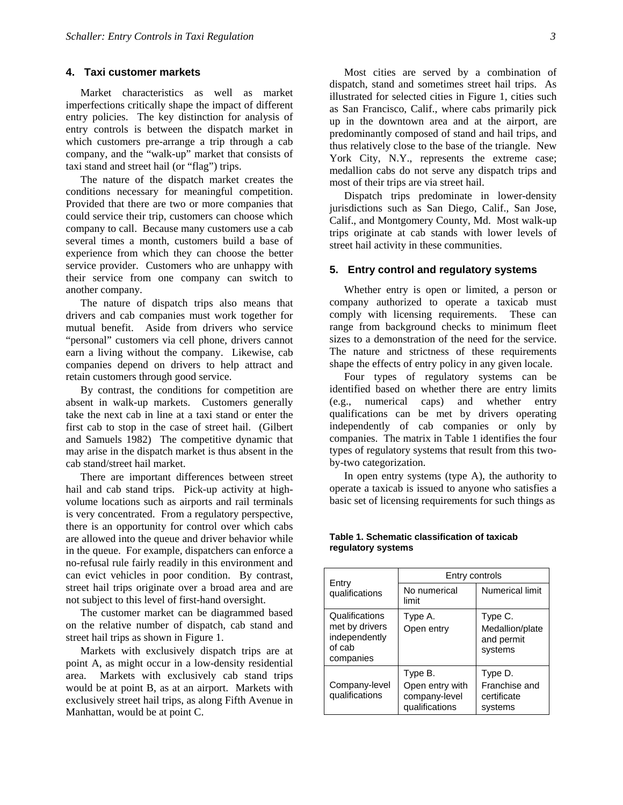#### **4. Taxi customer markets**

Market characteristics as well as market imperfections critically shape the impact of different entry policies. The key distinction for analysis of entry controls is between the dispatch market in which customers pre-arrange a trip through a cab company, and the "walk-up" market that consists of taxi stand and street hail (or "flag") trips.

The nature of the dispatch market creates the conditions necessary for meaningful competition. Provided that there are two or more companies that could service their trip, customers can choose which company to call. Because many customers use a cab several times a month, customers build a base of experience from which they can choose the better service provider. Customers who are unhappy with their service from one company can switch to another company.

The nature of dispatch trips also means that drivers and cab companies must work together for mutual benefit. Aside from drivers who service "personal" customers via cell phone, drivers cannot earn a living without the company. Likewise, cab companies depend on drivers to help attract and retain customers through good service.

By contrast, the conditions for competition are absent in walk-up markets. Customers generally take the next cab in line at a taxi stand or enter the first cab to stop in the case of street hail. (Gilbert and Samuels 1982) The competitive dynamic that may arise in the dispatch market is thus absent in the cab stand/street hail market.

There are important differences between street hail and cab stand trips. Pick-up activity at highvolume locations such as airports and rail terminals is very concentrated. From a regulatory perspective, there is an opportunity for control over which cabs are allowed into the queue and driver behavior while in the queue. For example, dispatchers can enforce a no-refusal rule fairly readily in this environment and can evict vehicles in poor condition. By contrast, street hail trips originate over a broad area and are not subject to this level of first-hand oversight.

The customer market can be diagrammed based on the relative number of dispatch, cab stand and street hail trips as shown in Figure 1.

Markets with exclusively dispatch trips are at point A, as might occur in a low-density residential area. Markets with exclusively cab stand trips would be at point B, as at an airport. Markets with exclusively street hail trips, as along Fifth Avenue in Manhattan, would be at point C.

dispatch, stand and sometimes street hail trips. As illustrated for selected cities in Figure 1, cities such as San Francisco, Calif., where cabs primarily pick up in the downtown area and at the airport, are predominantly composed of stand and hail trips, and thus relatively close to the base of the triangle. New York City, N.Y., represents the extreme case; medallion cabs do not serve any dispatch trips and most of their trips are via street hail.

Dispatch trips predominate in lower-density jurisdictions such as San Diego, Calif., San Jose, Calif., and Montgomery County, Md. Most walk-up trips originate at cab stands with lower levels of street hail activity in these communities.

#### **5. Entry control and regulatory systems**

Whether entry is open or limited, a person or company authorized to operate a taxicab must comply with licensing requirements. These can range from background checks to minimum fleet sizes to a demonstration of the need for the service. The nature and strictness of these requirements shape the effects of entry policy in any given locale.

Four types of regulatory systems can be identified based on whether there are entry limits (e.g., numerical caps) and whether entry qualifications can be met by drivers operating independently of cab companies or only by companies. The matrix in Table 1 identifies the four types of regulatory systems that result from this twoby-two categorization.

In open entry systems (type A), the authority to operate a taxicab is issued to anyone who satisfies a basic set of licensing requirements for such things as

|                                                                          | Entry controls                                                |                                                     |
|--------------------------------------------------------------------------|---------------------------------------------------------------|-----------------------------------------------------|
| Entry<br>qualifications                                                  | No numerical<br>limit                                         | Numerical limit                                     |
| Qualifications<br>met by drivers<br>independently<br>of cab<br>companies | Type A.<br>Open entry                                         | Type C.<br>Medallion/plate<br>and permit<br>systems |
| Company-level<br>qualifications                                          | Type B.<br>Open entry with<br>company-level<br>qualifications | Type D.<br>Franchise and<br>certificate<br>systems  |

#### **Table 1. Schematic classification of taxicab regulatory systems**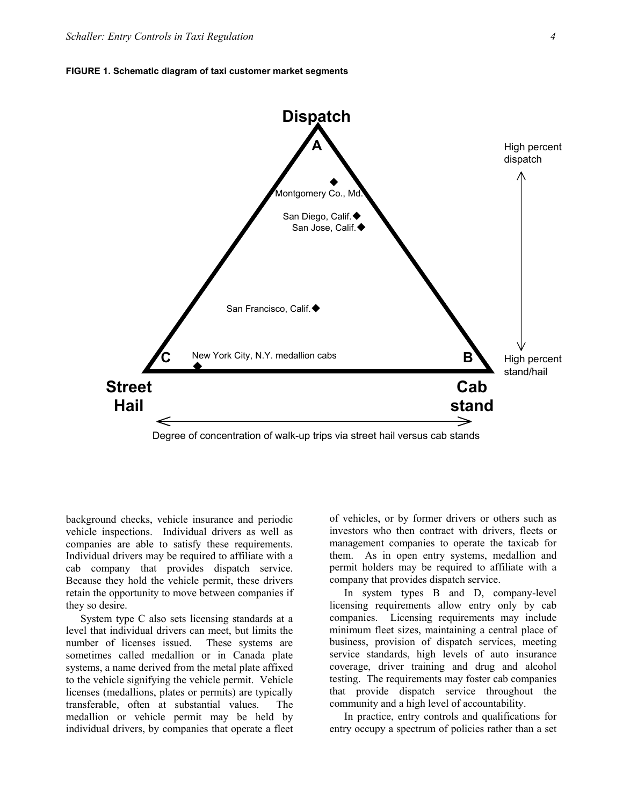

Degree of concentration of walk-up trips via street hail versus cab stands

background checks, vehicle insurance and periodic vehicle inspections. Individual drivers as well as companies are able to satisfy these requirements. Individual drivers may be required to affiliate with a cab company that provides dispatch service. Because they hold the vehicle permit, these drivers retain the opportunity to move between companies if they so desire.

System type C also sets licensing standards at a level that individual drivers can meet, but limits the number of licenses issued. These systems are sometimes called medallion or in Canada plate systems, a name derived from the metal plate affixed to the vehicle signifying the vehicle permit. Vehicle licenses (medallions, plates or permits) are typically transferable, often at substantial values. The medallion or vehicle permit may be held by individual drivers, by companies that operate a fleet of vehicles, or by former drivers or others such as investors who then contract with drivers, fleets or management companies to operate the taxicab for them. As in open entry systems, medallion and permit holders may be required to affiliate with a company that provides dispatch service.

In system types B and D, company-level licensing requirements allow entry only by cab companies. Licensing requirements may include minimum fleet sizes, maintaining a central place of business, provision of dispatch services, meeting service standards, high levels of auto insurance coverage, driver training and drug and alcohol testing. The requirements may foster cab companies that provide dispatch service throughout the community and a high level of accountability.

In practice, entry controls and qualifications for entry occupy a spectrum of policies rather than a set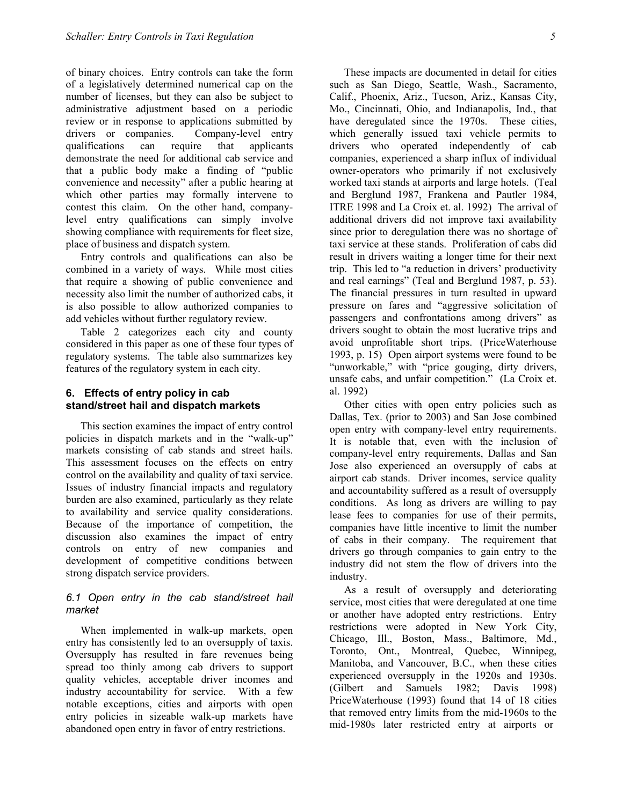of binary choices. Entry controls can take the form of a legislatively determined numerical cap on the number of licenses, but they can also be subject to administrative adjustment based on a periodic review or in response to applications submitted by drivers or companies. Company-level entry qualifications can require that applicants demonstrate the need for additional cab service and that a public body make a finding of "public convenience and necessity" after a public hearing at which other parties may formally intervene to contest this claim. On the other hand, companylevel entry qualifications can simply involve showing compliance with requirements for fleet size, place of business and dispatch system.

Entry controls and qualifications can also be combined in a variety of ways. While most cities that require a showing of public convenience and necessity also limit the number of authorized cabs, it is also possible to allow authorized companies to add vehicles without further regulatory review.

Table 2 categorizes each city and county considered in this paper as one of these four types of regulatory systems. The table also summarizes key features of the regulatory system in each city.

## **6. Effects of entry policy in cab stand/street hail and dispatch markets**

This section examines the impact of entry control policies in dispatch markets and in the "walk-up" markets consisting of cab stands and street hails. This assessment focuses on the effects on entry control on the availability and quality of taxi service. Issues of industry financial impacts and regulatory burden are also examined, particularly as they relate to availability and service quality considerations. Because of the importance of competition, the discussion also examines the impact of entry controls on entry of new companies and development of competitive conditions between strong dispatch service providers.

## *6.1 Open entry in the cab stand/street hail market*

When implemented in walk-up markets, open entry has consistently led to an oversupply of taxis. Oversupply has resulted in fare revenues being spread too thinly among cab drivers to support quality vehicles, acceptable driver incomes and industry accountability for service. With a few notable exceptions, cities and airports with open entry policies in sizeable walk-up markets have abandoned open entry in favor of entry restrictions.

These impacts are documented in detail for cities such as San Diego, Seattle, Wash., Sacramento, Calif., Phoenix, Ariz., Tucson, Ariz., Kansas City, Mo., Cincinnati, Ohio, and Indianapolis, Ind., that have deregulated since the 1970s. These cities, which generally issued taxi vehicle permits to drivers who operated independently of cab companies, experienced a sharp influx of individual owner-operators who primarily if not exclusively worked taxi stands at airports and large hotels. (Teal and Berglund 1987, Frankena and Pautler 1984, ITRE 1998 and La Croix et. al. 1992) The arrival of additional drivers did not improve taxi availability since prior to deregulation there was no shortage of taxi service at these stands. Proliferation of cabs did result in drivers waiting a longer time for their next trip. This led to "a reduction in drivers' productivity and real earnings" (Teal and Berglund 1987, p. 53). The financial pressures in turn resulted in upward pressure on fares and "aggressive solicitation of passengers and confrontations among drivers" as drivers sought to obtain the most lucrative trips and avoid unprofitable short trips. (PriceWaterhouse 1993, p. 15) Open airport systems were found to be "unworkable," with "price gouging, dirty drivers, unsafe cabs, and unfair competition." (La Croix et. al. 1992)

Other cities with open entry policies such as Dallas, Tex. (prior to 2003) and San Jose combined open entry with company-level entry requirements. It is notable that, even with the inclusion of company-level entry requirements, Dallas and San Jose also experienced an oversupply of cabs at airport cab stands. Driver incomes, service quality and accountability suffered as a result of oversupply conditions. As long as drivers are willing to pay lease fees to companies for use of their permits, companies have little incentive to limit the number of cabs in their company. The requirement that drivers go through companies to gain entry to the industry did not stem the flow of drivers into the industry.

As a result of oversupply and deteriorating service, most cities that were deregulated at one time or another have adopted entry restrictions. Entry restrictions were adopted in New York City, Chicago, Ill., Boston, Mass., Baltimore, Md., Toronto, Ont., Montreal, Quebec, Winnipeg, Manitoba, and Vancouver, B.C., when these cities experienced oversupply in the 1920s and 1930s. (Gilbert and Samuels 1982; Davis 1998) PriceWaterhouse (1993) found that 14 of 18 cities that removed entry limits from the mid-1960s to the mid-1980s later restricted entry at airports or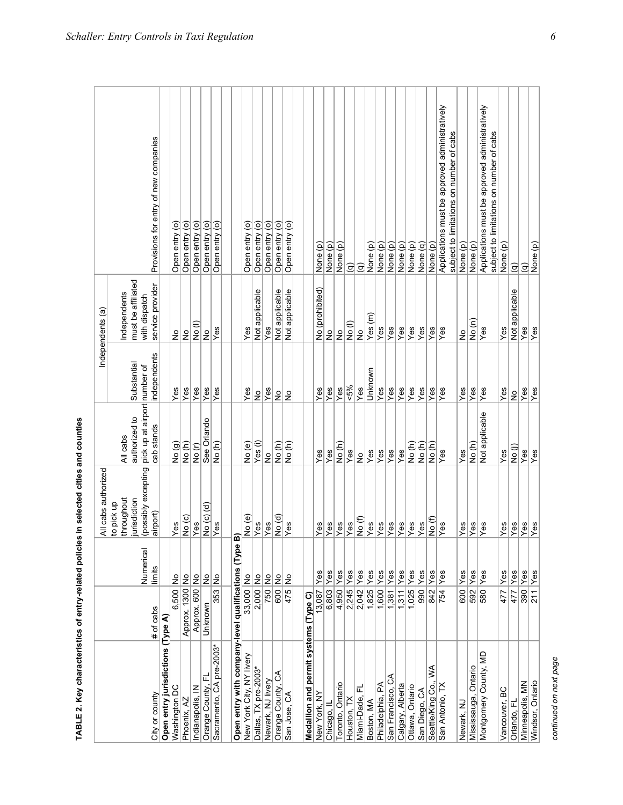|                                                     |                 |                   | All cabs authorized                  |                                               |               | Independents (a)                    |                                                                                               |
|-----------------------------------------------------|-----------------|-------------------|--------------------------------------|-----------------------------------------------|---------------|-------------------------------------|-----------------------------------------------------------------------------------------------|
|                                                     |                 |                   | to pick up                           |                                               |               |                                     |                                                                                               |
|                                                     |                 |                   | throughout                           | All cabs                                      |               | ndependents                         |                                                                                               |
|                                                     |                 | Numerical         | (possibly excepting<br>jurisdiction  | pick up at airport number of<br>authorized to | Substantial   | must be affiliated<br>with dispatch |                                                                                               |
| Open entry jurisdictions (Type A)<br>City or county | # of cabs       | limits            | airport)                             | cab stands                                    | independents  | service provider                    | Provisions for entry of new companies                                                         |
| Washington DC                                       | 6,500           | ş                 | Yes                                  | $\frac{N}{2}$                                 | Yes           | $\stackrel{\mathtt{o}}{z}$          | Open entry (o                                                                                 |
| Phoenix, AZ                                         | Approx. 1300 No |                   | No (c)                               | No(h)                                         | Yes           | Ιş                                  | Open entry (o)                                                                                |
| Indianapolis, IN                                    | Approx. 600 No  |                   | Yes                                  | No(r)                                         | Yes           | $\frac{1}{2}$                       | Open entry (o)                                                                                |
| Orange County, FL                                   | Unknown         | $\frac{1}{2}$     | No (c) (d)                           | See Orlando                                   | Yes           | $\frac{1}{2}$                       | Open entry (o)                                                                                |
| Sacramento, CA pre-2003*                            | 353             | $\frac{5}{2}$     | $\bar{Y}$ es                         | No (h)                                        | Yes           | Yes                                 | Open entry (o)                                                                                |
| Open entry with company-level qualifications (Type  |                 |                   | õ                                    |                                               |               |                                     |                                                                                               |
| New York City, NY livery                            | 33,000 No       |                   | No (e)                               | No (e)                                        | Yes           | Yes                                 | Open entry (o)                                                                                |
| Dallas, TX pre-2003*                                | 2,000 No        |                   | Yes                                  | Yes (i)                                       | $\frac{1}{2}$ | Not applicable                      | Open entry (o)                                                                                |
| Newark, NJ livery                                   | 750 No          |                   | $\overline{Y}$ es                    | $\frac{1}{2}$                                 | Yes           | Yes                                 | Open entry (o)                                                                                |
| Orange County, CA                                   | 600             | $rac{6}{5}$       | No (d)                               | No(h)                                         | $\frac{1}{2}$ | Not applicable                      | Open entry (o)                                                                                |
| San Jose, CA                                        | 475             | $\frac{1}{2}$     | $\overline{\overline{\mathsf{Yes}}}$ | No(h)                                         | $\frac{1}{2}$ | Not applicable                      | Open entry (o)                                                                                |
| Medallion and permit systems (Type C)               |                 |                   |                                      |                                               |               |                                     |                                                                                               |
| New York, NY                                        | 13,087          | Yes               | Yes                                  | Yes                                           | Yes           | No (prohibited)                     | None (p)                                                                                      |
| Chicago, Il                                         | 6,803           | $Y$ es            | Yes                                  | $\bar{Y}$ es                                  | Yes           | $\frac{1}{2}$                       | None (p)                                                                                      |
| Toronto, Ontario                                    | 4,950           | Yes               | Yes                                  | No (h)                                        | Yes           | $\frac{1}{2}$                       | None (p)                                                                                      |
| Houston, TX                                         | 2,245           | <b>Yes</b>        | Yes                                  | Yes                                           | 5%            | No(l)                               | $\widehat{\Xi}$                                                                               |
| 正<br>Miami-Dade,                                    | 2,042           | Yes               | No <sub>(f)</sub>                    | $\frac{1}{2}$                                 | Yes           | $\frac{6}{2}$                       | $\widehat{\sigma}$                                                                            |
| Boston, MA                                          | 1,825           | Yes               | Yes                                  | Yes                                           | Unknown       | Yes(m)                              | None (p)                                                                                      |
| Philadelphia, PA                                    | 1,600           | $Y$ es            | Yes                                  | Yes                                           | Yes           | Yes                                 | None (p)                                                                                      |
| San Francisco, CA                                   | 1,381           | Yes               | Yes                                  | Yes                                           | Yes           | Yes                                 | None (p)                                                                                      |
| Calgary, Alberta                                    | 1,311           | Yes               | Yes                                  | Yes                                           | Yes           | Yes                                 | None (p)                                                                                      |
| Ottawa, Ontario                                     | 1,025           | Yes               | <b>Yes</b>                           | No (h)                                        | Yes           | Yes                                 | None (p)                                                                                      |
| San Diego, CA                                       | 990             | Yes               | <b>Yes</b>                           | No(h)                                         | Yes           | Yes                                 | None (q)                                                                                      |
| Seattle/King Co., WA                                | 842             | <b>Yes</b>        | No (f)                               | No (h)                                        | Yes           | Yes                                 | None (p)                                                                                      |
| San Antonio, TX                                     | 754             | Yes               | Yes                                  | Yes                                           | Yes           | Yes                                 | Applications must be approved administratively<br>limitations on number of cabs<br>subject to |
| Newark, N.                                          | 600             | <b>Yes</b>        | Yes                                  | Yes                                           | Yes           | $\frac{1}{2}$                       | None (p)                                                                                      |
| Mississauga, Ontario                                |                 | Yes               | Yes                                  | No(h)                                         | Yes           | No(n)                               | None (p)                                                                                      |
| Montgomery County, MD                               | $\frac{1}{380}$ | <b>Yes</b>        | Yes                                  | Not applicable                                | Yes           | Yes                                 | Applications must be approved administratively<br>subject to limitations on number of cabs    |
| Vancouver, BC                                       | 477             | $\overline{Y}$ es | Yes                                  | Yes                                           | Yes           | Yes                                 | None (p)                                                                                      |
| Orlando, Fl                                         | 477             | <b>IYes</b>       | Yes                                  | $N$ o (j)                                     | $\frac{1}{2}$ | Not applicable                      | $\widehat{\sigma}$                                                                            |
| Minneapolis, MN                                     | 390 Yes         |                   | Yes                                  | Yes                                           | Yes           | Yes                                 | $\widehat{\sigma}$                                                                            |
| Windsor, Ontario                                    |                 | $\frac{211}{18}$  | Yes                                  | Yes                                           | <b>Yes</b>    | <b>Yes</b>                          | None (p)                                                                                      |

continued on next page *continued on next page*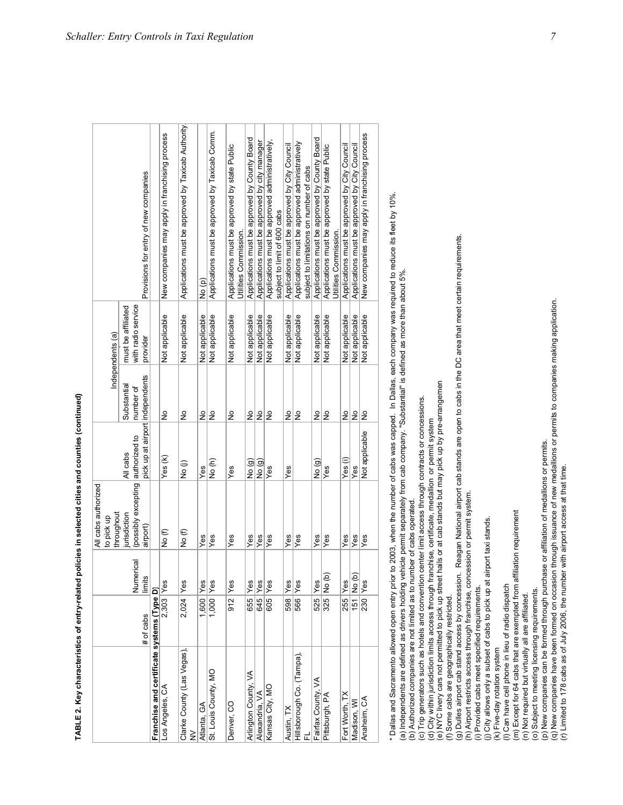| ֖֖֖֖ׅ֖֧֪ׅ֪֪֪ׅ֖֚֚֚֚֚֚֚֚֚֚֚֚֚֚֚֚֚֚֚֚֚֚֚֚֚֚֚֚֚֚֚֬֡֡֡֓֞֝֓֞֝֬֓֞ |
|------------------------------------------------------------|
| l                                                          |
|                                                            |
|                                                            |
| ֕<br>l                                                     |

|                                            |           |            | All cabs authorized<br>to pick up |                |                      | Independents (a)                         |                                                                                            |
|--------------------------------------------|-----------|------------|-----------------------------------|----------------|----------------------|------------------------------------------|--------------------------------------------------------------------------------------------|
|                                            |           |            | throughout                        |                |                      |                                          |                                                                                            |
|                                            |           | Numerical  | jurisdiction                      | All cabs       | Substantial          | with radio service<br>must be affiliated |                                                                                            |
|                                            | # of cabs | limits     |                                   |                |                      | provider                                 | Provisions for entry of new companies                                                      |
| Franchise and certificate systems (Type D) |           |            |                                   |                |                      |                                          |                                                                                            |
| Los Angeles, CA                            | 2,303 Yes |            | No (f)                            | Yes (k)        | ş                    | Not applicable                           | New companies may apply in franchising process                                             |
| Clarke County (Las Vegas),<br>$\geq$       | 2,024 Yes |            | No (f)                            | (j)<br>Do      | ş                    | Not applicable                           | Applications must be approved by Taxicab Authority                                         |
| Atlanta, GA                                | 1,600 Yes |            | Yes                               | Yes            | ş                    | Not applicable                           | No (p)                                                                                     |
| St. Louis County, MO                       | 1,000 Yes |            | Yes                               | (F)<br>ON      | ş                    | Not applicable                           | Applications must be approved by Taxicab Comm.                                             |
| Denver, CO                                 | 912       | Yes        | Yes                               | Yes            | $\frac{1}{2}$        | Not applicable                           | Applications must be approved by state Public<br>Utilities Commission.                     |
| Arlington County, VA                       | 655 Yes   |            | Yes                               | Q) oN          | ş                    | Not applicable                           | Applications must be approved by County Board                                              |
| Alexandria, VA                             |           | 645 Yes    | Yes                               | No (g)         | ş                    | Not applicable                           | Applications must be approved by city manager                                              |
| Kansas City, MO                            | $605$ Yes |            | Yes                               | <b>Ves</b>     | lş                   | Not applicable                           | Applications must be approved administratively,<br>subject to limit of 600 cabs            |
| Austin, TX                                 | 598 Yes   |            | Yes                               | Yes            | ş                    | Not applicable                           | Applications must be approved by City Council                                              |
| Hillsborough Co. (Tampa),<br>ᇛ             | 566       | Yes        | Yes                               |                | $\epsilon$           | Not applicable                           | Applications must be approved administratively<br>subject to limitations on number of cabs |
| Fairfax County, VA                         |           | 525 Yes    | Yes                               | ος)<br>Θ       | $\frac{1}{2}$        | Not applicable                           | Applications must be approved by County Board                                              |
| Pittsburgh, PA                             |           | 325 No (b) | Yes                               | Yes            | $\frac{1}{2}$        | Not applicable                           | Applications must be approved by state Public<br>Utilities Commission.                     |
| Fort Worth, TX                             |           | 255 Yes    | Yes                               | Yes (i)        | $\tilde{\mathsf{z}}$ | Not applicable                           | Applications must be approved by City Council                                              |
| Madison, WI                                |           | 151 No (b) | Yes                               | Yes            | $\frac{1}{2}$        | Not applicable                           | Applications must be approved by City Council                                              |
| Anaheim, CA                                |           | 230 Yes    | Yes                               | Not applicable | ş                    | Not applicable                           | New companies may apply in franchising process                                             |

\* Dallas and Sacramento allowed open entry prior to 2003, when the number of cabs was capped. In Dallas, each company was required to reduce its fleet by 10% \* Dallas and Sacramento allowed open entry prior to 2003, when the number of cabs was capped. In Dallas, each company was required to reduce its fleet by 10%. (a) Independents are defined as drivers holding vehicle permit separately from cab company. "Substantial" is defined as more than about 5%. (a) Independents are defined as drivers holding vehicle permit separately from cab company. "Substantial" is defined as more than about 5%.

(b) Authorized companies are not limited as to number of cabs operated.

(b) Authorized companies are not limited as to number of cabs operated.<br>(c) Trip generators such as hotels and convention center limit access through contracts or concessions. (c) Trip generators such as hotels and convention center limit access through contracts or concessions.

(d) City within jurisdiction limits access through franchise, certificate, medallion or permit system

(e) NYC livery cars not permitted to pick up street hails or at cab stands but may pick up by pre-arrangemen

(f) Some cabs are geographically restricted.

(d) City within jurisdiction limits access through franchise, certificate, medallion or permit system<br>(e) NYC livery cars not permitted to pick up street hails or at cab stands but may pick up by pre-arrangemen<br>(f) Some ca (g) Dulles airport cab stand access by concession. Reagan National airport cab stands are open to cabs in the DC area that meet certain requirements.

(h) Airport restricts access through franchise, concession or permit system.

(i) Provided cabs meet specified requirements. (i) Provided cabs meet specified requirements.

(j) City allows only a subset of cabs to pick up at airport taxi stands.<br>(k) Five-day rotation system<br>(l) Can have cell phone in lieu of radio dispatch (j) City allows only a subset of cabs to pick up at airport taxi stands.

(k) Five-day rotation system (l) Can have cell phone in lieu of radio dispatch

(m) Except for 64 cabs that are exempted from affiliation requirement<br>(n) Not required but virtually all are affiliated. (m) Except for 64 cabs that are exempted from affiliation requirement

(n) Not required but virtually all are affiliated.

(o) Subject to meeting licensing requirements. (o) Subject to meeting licensing requirements.

(p) New companies can be formed through purchase or affiliation of medallions or permits.

(p) New companies can be formed through purchase or affiliation of medallions or permits.<br>(q) New companies have been formed on occasion through issuance of new medallions or permits to companies making application.<br>(r) Li (q) New companies have been formed on occasion through issuance of new medallions or permits to companies making application.

(r) Limited to 178 cabs as of July 2006, the number with airport access at that time.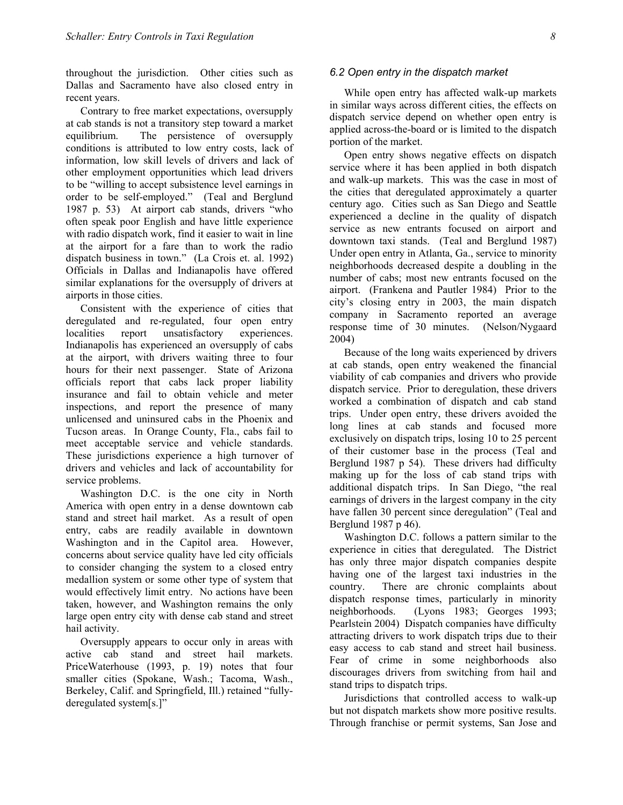throughout the jurisdiction. Other cities such as Dallas and Sacramento have also closed entry in recent years.

Contrary to free market expectations, oversupply at cab stands is not a transitory step toward a market equilibrium. The persistence of oversupply conditions is attributed to low entry costs, lack of information, low skill levels of drivers and lack of other employment opportunities which lead drivers to be "willing to accept subsistence level earnings in order to be self-employed." (Teal and Berglund 1987 p. 53) At airport cab stands, drivers "who often speak poor English and have little experience with radio dispatch work, find it easier to wait in line at the airport for a fare than to work the radio dispatch business in town." (La Crois et. al. 1992) Officials in Dallas and Indianapolis have offered similar explanations for the oversupply of drivers at airports in those cities.

Consistent with the experience of cities that deregulated and re-regulated, four open entry localities report unsatisfactory experiences. Indianapolis has experienced an oversupply of cabs at the airport, with drivers waiting three to four hours for their next passenger. State of Arizona officials report that cabs lack proper liability insurance and fail to obtain vehicle and meter inspections, and report the presence of many unlicensed and uninsured cabs in the Phoenix and Tucson areas. In Orange County, Fla., cabs fail to meet acceptable service and vehicle standards. These jurisdictions experience a high turnover of drivers and vehicles and lack of accountability for service problems.

Washington D.C. is the one city in North America with open entry in a dense downtown cab stand and street hail market. As a result of open entry, cabs are readily available in downtown Washington and in the Capitol area. However, concerns about service quality have led city officials to consider changing the system to a closed entry medallion system or some other type of system that would effectively limit entry. No actions have been taken, however, and Washington remains the only large open entry city with dense cab stand and street hail activity.

Oversupply appears to occur only in areas with active cab stand and street hail markets. PriceWaterhouse (1993, p. 19) notes that four smaller cities (Spokane, Wash.; Tacoma, Wash., Berkeley, Calif. and Springfield, Ill.) retained "fullyderegulated system[s.]"

#### *6.2 Open entry in the dispatch market*

While open entry has affected walk-up markets in similar ways across different cities, the effects on dispatch service depend on whether open entry is applied across-the-board or is limited to the dispatch portion of the market.

Open entry shows negative effects on dispatch service where it has been applied in both dispatch and walk-up markets. This was the case in most of the cities that deregulated approximately a quarter century ago. Cities such as San Diego and Seattle experienced a decline in the quality of dispatch service as new entrants focused on airport and downtown taxi stands. (Teal and Berglund 1987) Under open entry in Atlanta, Ga., service to minority neighborhoods decreased despite a doubling in the number of cabs; most new entrants focused on the airport. (Frankena and Pautler 1984) Prior to the city's closing entry in 2003, the main dispatch company in Sacramento reported an average response time of 30 minutes. (Nelson/Nygaard 2004)

Because of the long waits experienced by drivers at cab stands, open entry weakened the financial viability of cab companies and drivers who provide dispatch service. Prior to deregulation, these drivers worked a combination of dispatch and cab stand trips. Under open entry, these drivers avoided the long lines at cab stands and focused more exclusively on dispatch trips, losing 10 to 25 percent of their customer base in the process (Teal and Berglund 1987 p 54). These drivers had difficulty making up for the loss of cab stand trips with additional dispatch trips. In San Diego, "the real earnings of drivers in the largest company in the city have fallen 30 percent since deregulation" (Teal and Berglund 1987 p 46).

Washington D.C. follows a pattern similar to the experience in cities that deregulated. The District has only three major dispatch companies despite having one of the largest taxi industries in the country. There are chronic complaints about dispatch response times, particularly in minority neighborhoods. (Lyons 1983; Georges 1993; Pearlstein 2004) Dispatch companies have difficulty attracting drivers to work dispatch trips due to their easy access to cab stand and street hail business. Fear of crime in some neighborhoods also discourages drivers from switching from hail and stand trips to dispatch trips.

Jurisdictions that controlled access to walk-up but not dispatch markets show more positive results. Through franchise or permit systems, San Jose and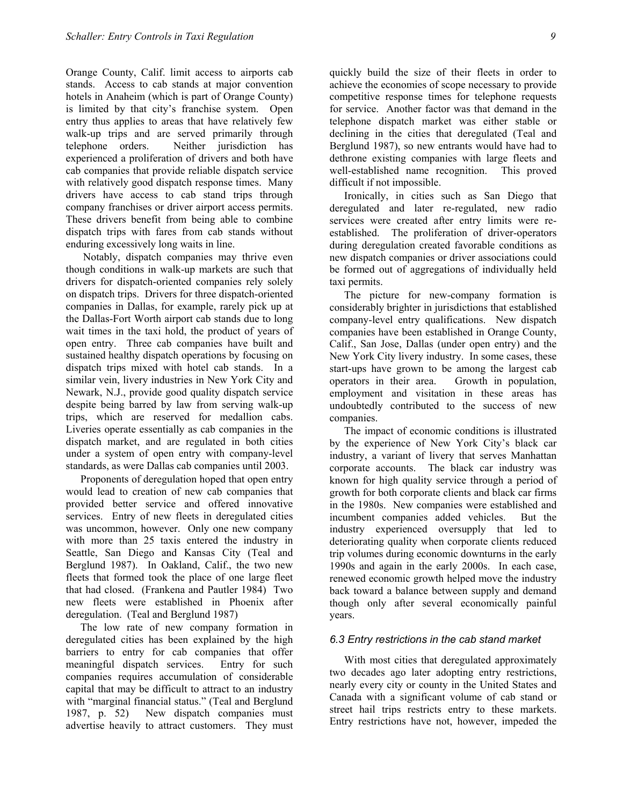Orange County, Calif. limit access to airports cab stands. Access to cab stands at major convention hotels in Anaheim (which is part of Orange County) is limited by that city's franchise system. Open entry thus applies to areas that have relatively few walk-up trips and are served primarily through telephone orders. Neither jurisdiction has experienced a proliferation of drivers and both have cab companies that provide reliable dispatch service with relatively good dispatch response times. Many drivers have access to cab stand trips through company franchises or driver airport access permits. These drivers benefit from being able to combine dispatch trips with fares from cab stands without enduring excessively long waits in line.

 Notably, dispatch companies may thrive even though conditions in walk-up markets are such that drivers for dispatch-oriented companies rely solely on dispatch trips. Drivers for three dispatch-oriented companies in Dallas, for example, rarely pick up at the Dallas-Fort Worth airport cab stands due to long wait times in the taxi hold, the product of years of open entry. Three cab companies have built and sustained healthy dispatch operations by focusing on dispatch trips mixed with hotel cab stands. In a similar vein, livery industries in New York City and Newark, N.J., provide good quality dispatch service despite being barred by law from serving walk-up trips, which are reserved for medallion cabs. Liveries operate essentially as cab companies in the dispatch market, and are regulated in both cities under a system of open entry with company-level standards, as were Dallas cab companies until 2003.

Proponents of deregulation hoped that open entry would lead to creation of new cab companies that provided better service and offered innovative services. Entry of new fleets in deregulated cities was uncommon, however. Only one new company with more than 25 taxis entered the industry in Seattle, San Diego and Kansas City (Teal and Berglund 1987). In Oakland, Calif., the two new fleets that formed took the place of one large fleet that had closed. (Frankena and Pautler 1984) Two new fleets were established in Phoenix after deregulation. (Teal and Berglund 1987)

The low rate of new company formation in deregulated cities has been explained by the high barriers to entry for cab companies that offer meaningful dispatch services. Entry for such companies requires accumulation of considerable capital that may be difficult to attract to an industry with "marginal financial status." (Teal and Berglund 1987, p. 52) New dispatch companies must advertise heavily to attract customers. They must

quickly build the size of their fleets in order to achieve the economies of scope necessary to provide competitive response times for telephone requests for service. Another factor was that demand in the telephone dispatch market was either stable or declining in the cities that deregulated (Teal and Berglund 1987), so new entrants would have had to dethrone existing companies with large fleets and well-established name recognition. This proved difficult if not impossible.

Ironically, in cities such as San Diego that deregulated and later re-regulated, new radio services were created after entry limits were reestablished. The proliferation of driver-operators during deregulation created favorable conditions as new dispatch companies or driver associations could be formed out of aggregations of individually held taxi permits.

The picture for new-company formation is considerably brighter in jurisdictions that established company-level entry qualifications. New dispatch companies have been established in Orange County, Calif., San Jose, Dallas (under open entry) and the New York City livery industry. In some cases, these start-ups have grown to be among the largest cab operators in their area. Growth in population, employment and visitation in these areas has undoubtedly contributed to the success of new companies.

The impact of economic conditions is illustrated by the experience of New York City's black car industry, a variant of livery that serves Manhattan corporate accounts. The black car industry was known for high quality service through a period of growth for both corporate clients and black car firms in the 1980s. New companies were established and incumbent companies added vehicles. But the industry experienced oversupply that led to deteriorating quality when corporate clients reduced trip volumes during economic downturns in the early 1990s and again in the early 2000s. In each case, renewed economic growth helped move the industry back toward a balance between supply and demand though only after several economically painful years.

#### *6.3 Entry restrictions in the cab stand market*

With most cities that deregulated approximately two decades ago later adopting entry restrictions, nearly every city or county in the United States and Canada with a significant volume of cab stand or street hail trips restricts entry to these markets. Entry restrictions have not, however, impeded the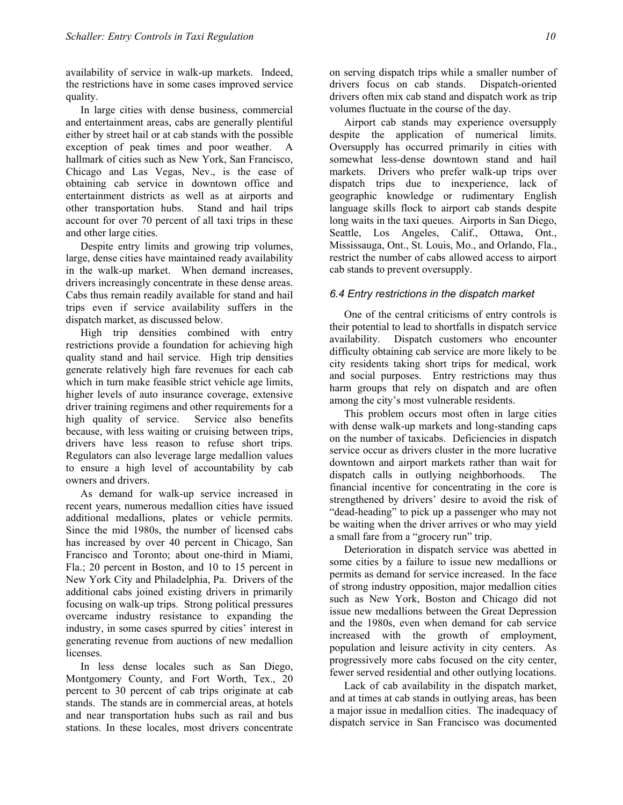availability of service in walk-up markets. Indeed, the restrictions have in some cases improved service quality.

In large cities with dense business, commercial and entertainment areas, cabs are generally plentiful either by street hail or at cab stands with the possible exception of peak times and poor weather. A hallmark of cities such as New York, San Francisco, Chicago and Las Vegas, Nev., is the ease of obtaining cab service in downtown office and entertainment districts as well as at airports and other transportation hubs. Stand and hail trips account for over 70 percent of all taxi trips in these and other large cities.

Despite entry limits and growing trip volumes, large, dense cities have maintained ready availability in the walk-up market. When demand increases, drivers increasingly concentrate in these dense areas. Cabs thus remain readily available for stand and hail trips even if service availability suffers in the dispatch market, as discussed below.

High trip densities combined with entry restrictions provide a foundation for achieving high quality stand and hail service. High trip densities generate relatively high fare revenues for each cab which in turn make feasible strict vehicle age limits, higher levels of auto insurance coverage, extensive driver training regimens and other requirements for a high quality of service. Service also benefits because, with less waiting or cruising between trips, drivers have less reason to refuse short trips. Regulators can also leverage large medallion values to ensure a high level of accountability by cab owners and drivers.

As demand for walk-up service increased in recent years, numerous medallion cities have issued additional medallions, plates or vehicle permits. Since the mid 1980s, the number of licensed cabs has increased by over 40 percent in Chicago, San Francisco and Toronto; about one-third in Miami, Fla.; 20 percent in Boston, and 10 to 15 percent in New York City and Philadelphia, Pa. Drivers of the additional cabs joined existing drivers in primarily focusing on walk-up trips. Strong political pressures overcame industry resistance to expanding the industry, in some cases spurred by cities' interest in generating revenue from auctions of new medallion licenses.

In less dense locales such as San Diego, Montgomery County, and Fort Worth, Tex., 20 percent to 30 percent of cab trips originate at cab stands. The stands are in commercial areas, at hotels and near transportation hubs such as rail and bus stations. In these locales, most drivers concentrate on serving dispatch trips while a smaller number of drivers focus on cab stands. Dispatch-oriented drivers often mix cab stand and dispatch work as trip volumes fluctuate in the course of the day.

Airport cab stands may experience oversupply despite the application of numerical limits. Oversupply has occurred primarily in cities with somewhat less-dense downtown stand and hail markets. Drivers who prefer walk-up trips over dispatch trips due to inexperience, lack of geographic knowledge or rudimentary English language skills flock to airport cab stands despite long waits in the taxi queues. Airports in San Diego, Seattle, Los Angeles, Calif., Ottawa, Ont., Mississauga, Ont., St. Louis, Mo., and Orlando, Fla., restrict the number of cabs allowed access to airport cab stands to prevent oversupply.

#### *6.4 Entry restrictions in the dispatch market*

One of the central criticisms of entry controls is their potential to lead to shortfalls in dispatch service availability. Dispatch customers who encounter difficulty obtaining cab service are more likely to be city residents taking short trips for medical, work and social purposes. Entry restrictions may thus harm groups that rely on dispatch and are often among the city's most vulnerable residents.

This problem occurs most often in large cities with dense walk-up markets and long-standing caps on the number of taxicabs. Deficiencies in dispatch service occur as drivers cluster in the more lucrative downtown and airport markets rather than wait for dispatch calls in outlying neighborhoods. The financial incentive for concentrating in the core is strengthened by drivers' desire to avoid the risk of "dead-heading" to pick up a passenger who may not be waiting when the driver arrives or who may yield a small fare from a "grocery run" trip.

Deterioration in dispatch service was abetted in some cities by a failure to issue new medallions or permits as demand for service increased. In the face of strong industry opposition, major medallion cities such as New York, Boston and Chicago did not issue new medallions between the Great Depression and the 1980s, even when demand for cab service increased with the growth of employment, population and leisure activity in city centers. As progressively more cabs focused on the city center, fewer served residential and other outlying locations.

Lack of cab availability in the dispatch market, and at times at cab stands in outlying areas, has been a major issue in medallion cities. The inadequacy of dispatch service in San Francisco was documented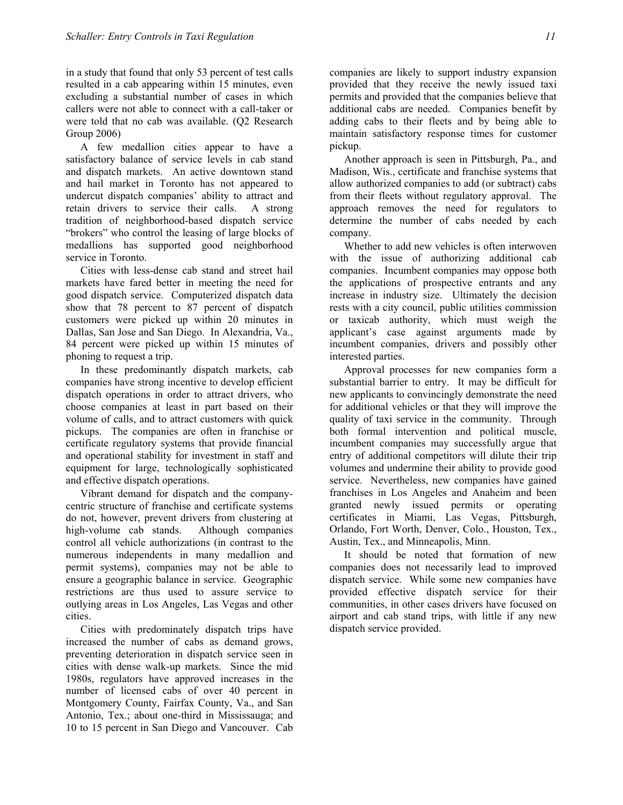in a study that found that only 53 percent of test calls resulted in a cab appearing within 15 minutes, even excluding a substantial number of cases in which callers were not able to connect with a call-taker or were told that no cab was available. (Q2 Research Group 2006)

A few medallion cities appear to have a satisfactory balance of service levels in cab stand and dispatch markets. An active downtown stand and hail market in Toronto has not appeared to undercut dispatch companies' ability to attract and retain drivers to service their calls. A strong tradition of neighborhood-based dispatch service "brokers" who control the leasing of large blocks of medallions has supported good neighborhood service in Toronto.

Cities with less-dense cab stand and street hail markets have fared better in meeting the need for good dispatch service. Computerized dispatch data show that 78 percent to 87 percent of dispatch customers were picked up within 20 minutes in Dallas, San Jose and San Diego. In Alexandria, Va., 84 percent were picked up within 15 minutes of phoning to request a trip.

In these predominantly dispatch markets, cab companies have strong incentive to develop efficient dispatch operations in order to attract drivers, who choose companies at least in part based on their volume of calls, and to attract customers with quick pickups. The companies are often in franchise or certificate regulatory systems that provide financial and operational stability for investment in staff and equipment for large, technologically sophisticated and effective dispatch operations.

Vibrant demand for dispatch and the companycentric structure of franchise and certificate systems do not, however, prevent drivers from clustering at high-volume cab stands. Although companies control all vehicle authorizations (in contrast to the numerous independents in many medallion and permit systems), companies may not be able to ensure a geographic balance in service. Geographic restrictions are thus used to assure service to outlying areas in Los Angeles, Las Vegas and other cities.

Cities with predominately dispatch trips have increased the number of cabs as demand grows, preventing deterioration in dispatch service seen in cities with dense walk-up markets. Since the mid 1980s, regulators have approved increases in the number of licensed cabs of over 40 percent in Montgomery County, Fairfax County, Va., and San Antonio, Tex.; about one-third in Mississauga; and 10 to 15 percent in San Diego and Vancouver. Cab

companies are likely to support industry expansion provided that they receive the newly issued taxi permits and provided that the companies believe that additional cabs are needed. Companies benefit by adding cabs to their fleets and by being able to maintain satisfactory response times for customer pickup.

Another approach is seen in Pittsburgh, Pa., and Madison, Wis., certificate and franchise systems that allow authorized companies to add (or subtract) cabs from their fleets without regulatory approval. The approach removes the need for regulators to determine the number of cabs needed by each company.

Whether to add new vehicles is often interwoven with the issue of authorizing additional cab companies. Incumbent companies may oppose both the applications of prospective entrants and any increase in industry size. Ultimately the decision rests with a city council, public utilities commission or taxicab authority, which must weigh the applicant's case against arguments made by incumbent companies, drivers and possibly other interested parties.

Approval processes for new companies form a substantial barrier to entry. It may be difficult for new applicants to convincingly demonstrate the need for additional vehicles or that they will improve the quality of taxi service in the community. Through both formal intervention and political muscle, incumbent companies may successfully argue that entry of additional competitors will dilute their trip volumes and undermine their ability to provide good service. Nevertheless, new companies have gained franchises in Los Angeles and Anaheim and been granted newly issued permits or operating certificates in Miami, Las Vegas, Pittsburgh, Orlando, Fort Worth, Denver, Colo., Houston, Tex., Austin, Tex., and Minneapolis, Minn.

It should be noted that formation of new companies does not necessarily lead to improved dispatch service. While some new companies have provided effective dispatch service for their communities, in other cases drivers have focused on airport and cab stand trips, with little if any new dispatch service provided.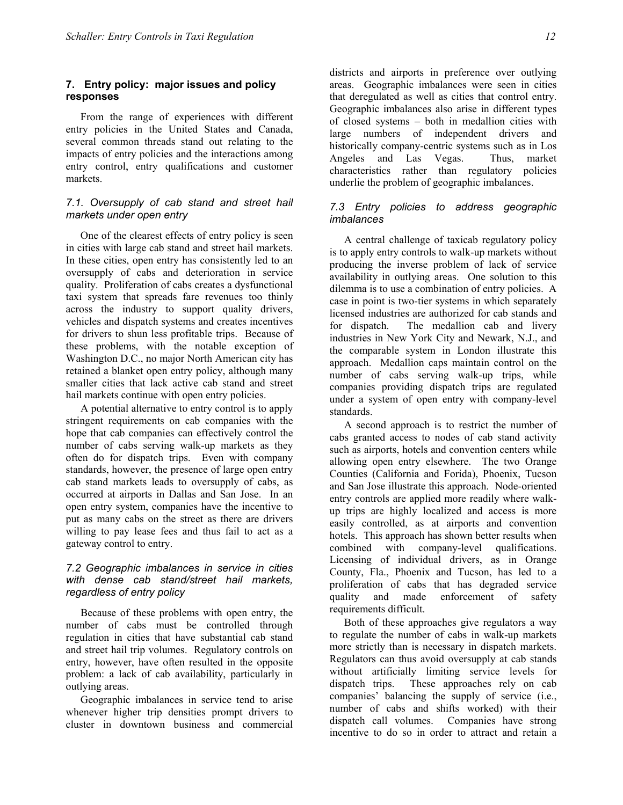# **7. Entry policy: major issues and policy responses**

From the range of experiences with different entry policies in the United States and Canada, several common threads stand out relating to the impacts of entry policies and the interactions among entry control, entry qualifications and customer markets.

## *7.1. Oversupply of cab stand and street hail markets under open entry*

One of the clearest effects of entry policy is seen in cities with large cab stand and street hail markets. In these cities, open entry has consistently led to an oversupply of cabs and deterioration in service quality. Proliferation of cabs creates a dysfunctional taxi system that spreads fare revenues too thinly across the industry to support quality drivers, vehicles and dispatch systems and creates incentives for drivers to shun less profitable trips. Because of these problems, with the notable exception of Washington D.C., no major North American city has retained a blanket open entry policy, although many smaller cities that lack active cab stand and street hail markets continue with open entry policies.

A potential alternative to entry control is to apply stringent requirements on cab companies with the hope that cab companies can effectively control the number of cabs serving walk-up markets as they often do for dispatch trips. Even with company standards, however, the presence of large open entry cab stand markets leads to oversupply of cabs, as occurred at airports in Dallas and San Jose. In an open entry system, companies have the incentive to put as many cabs on the street as there are drivers willing to pay lease fees and thus fail to act as a gateway control to entry.

# *7.2 Geographic imbalances in service in cities with dense cab stand/street hail markets, regardless of entry policy*

Because of these problems with open entry, the number of cabs must be controlled through regulation in cities that have substantial cab stand and street hail trip volumes. Regulatory controls on entry, however, have often resulted in the opposite problem: a lack of cab availability, particularly in outlying areas.

Geographic imbalances in service tend to arise whenever higher trip densities prompt drivers to cluster in downtown business and commercial

districts and airports in preference over outlying areas. Geographic imbalances were seen in cities that deregulated as well as cities that control entry. Geographic imbalances also arise in different types of closed systems – both in medallion cities with large numbers of independent drivers and historically company-centric systems such as in Los Angeles and Las Vegas. Thus, market characteristics rather than regulatory policies underlie the problem of geographic imbalances.

# *7.3 Entry policies to address geographic imbalances*

A central challenge of taxicab regulatory policy is to apply entry controls to walk-up markets without producing the inverse problem of lack of service availability in outlying areas. One solution to this dilemma is to use a combination of entry policies. A case in point is two-tier systems in which separately licensed industries are authorized for cab stands and for dispatch. The medallion cab and livery industries in New York City and Newark, N.J., and the comparable system in London illustrate this approach. Medallion caps maintain control on the number of cabs serving walk-up trips, while companies providing dispatch trips are regulated under a system of open entry with company-level standards.

A second approach is to restrict the number of cabs granted access to nodes of cab stand activity such as airports, hotels and convention centers while allowing open entry elsewhere. The two Orange Counties (California and Forida), Phoenix, Tucson and San Jose illustrate this approach. Node-oriented entry controls are applied more readily where walkup trips are highly localized and access is more easily controlled, as at airports and convention hotels. This approach has shown better results when combined with company-level qualifications. Licensing of individual drivers, as in Orange County, Fla., Phoenix and Tucson, has led to a proliferation of cabs that has degraded service quality and made enforcement of safety requirements difficult.

Both of these approaches give regulators a way to regulate the number of cabs in walk-up markets more strictly than is necessary in dispatch markets. Regulators can thus avoid oversupply at cab stands without artificially limiting service levels for dispatch trips. These approaches rely on cab companies' balancing the supply of service (i.e., number of cabs and shifts worked) with their dispatch call volumes. Companies have strong incentive to do so in order to attract and retain a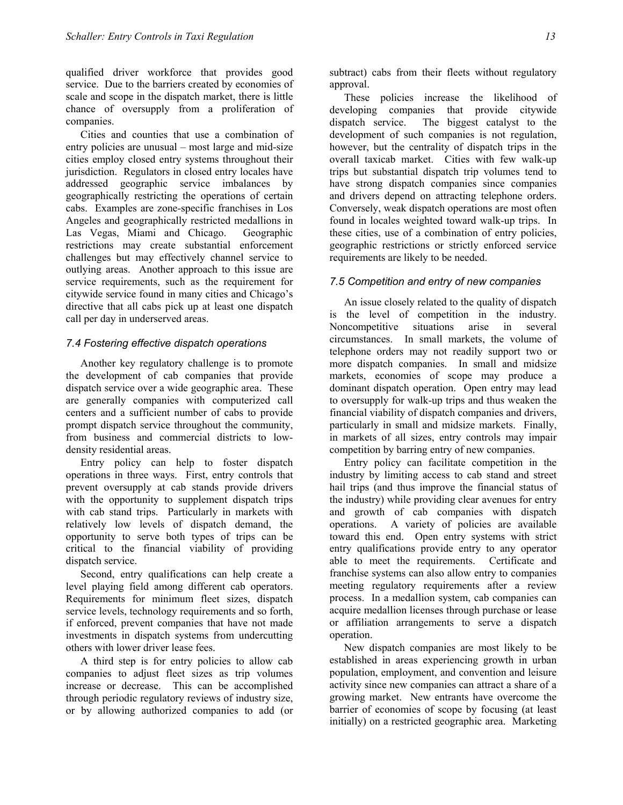qualified driver workforce that provides good service. Due to the barriers created by economies of scale and scope in the dispatch market, there is little chance of oversupply from a proliferation of companies.

Cities and counties that use a combination of entry policies are unusual – most large and mid-size cities employ closed entry systems throughout their jurisdiction. Regulators in closed entry locales have addressed geographic service imbalances by geographically restricting the operations of certain cabs. Examples are zone-specific franchises in Los Angeles and geographically restricted medallions in Las Vegas, Miami and Chicago. Geographic restrictions may create substantial enforcement challenges but may effectively channel service to outlying areas. Another approach to this issue are service requirements, such as the requirement for citywide service found in many cities and Chicago's directive that all cabs pick up at least one dispatch call per day in underserved areas.

#### *7.4 Fostering effective dispatch operations*

Another key regulatory challenge is to promote the development of cab companies that provide dispatch service over a wide geographic area. These are generally companies with computerized call centers and a sufficient number of cabs to provide prompt dispatch service throughout the community, from business and commercial districts to lowdensity residential areas.

Entry policy can help to foster dispatch operations in three ways. First, entry controls that prevent oversupply at cab stands provide drivers with the opportunity to supplement dispatch trips with cab stand trips. Particularly in markets with relatively low levels of dispatch demand, the opportunity to serve both types of trips can be critical to the financial viability of providing dispatch service.

Second, entry qualifications can help create a level playing field among different cab operators. Requirements for minimum fleet sizes, dispatch service levels, technology requirements and so forth, if enforced, prevent companies that have not made investments in dispatch systems from undercutting others with lower driver lease fees.

A third step is for entry policies to allow cab companies to adjust fleet sizes as trip volumes increase or decrease. This can be accomplished through periodic regulatory reviews of industry size, or by allowing authorized companies to add (or subtract) cabs from their fleets without regulatory approval.

These policies increase the likelihood of developing companies that provide citywide dispatch service. The biggest catalyst to the development of such companies is not regulation, however, but the centrality of dispatch trips in the overall taxicab market. Cities with few walk-up trips but substantial dispatch trip volumes tend to have strong dispatch companies since companies and drivers depend on attracting telephone orders. Conversely, weak dispatch operations are most often found in locales weighted toward walk-up trips. In these cities, use of a combination of entry policies, geographic restrictions or strictly enforced service requirements are likely to be needed.

#### *7.5 Competition and entry of new companies*

An issue closely related to the quality of dispatch is the level of competition in the industry. Noncompetitive situations arise in several circumstances. In small markets, the volume of telephone orders may not readily support two or more dispatch companies. In small and midsize markets, economies of scope may produce a dominant dispatch operation. Open entry may lead to oversupply for walk-up trips and thus weaken the financial viability of dispatch companies and drivers, particularly in small and midsize markets. Finally, in markets of all sizes, entry controls may impair competition by barring entry of new companies.

Entry policy can facilitate competition in the industry by limiting access to cab stand and street hail trips (and thus improve the financial status of the industry) while providing clear avenues for entry and growth of cab companies with dispatch operations. A variety of policies are available toward this end. Open entry systems with strict entry qualifications provide entry to any operator able to meet the requirements. Certificate and franchise systems can also allow entry to companies meeting regulatory requirements after a review process. In a medallion system, cab companies can acquire medallion licenses through purchase or lease or affiliation arrangements to serve a dispatch operation.

New dispatch companies are most likely to be established in areas experiencing growth in urban population, employment, and convention and leisure activity since new companies can attract a share of a growing market. New entrants have overcome the barrier of economies of scope by focusing (at least initially) on a restricted geographic area. Marketing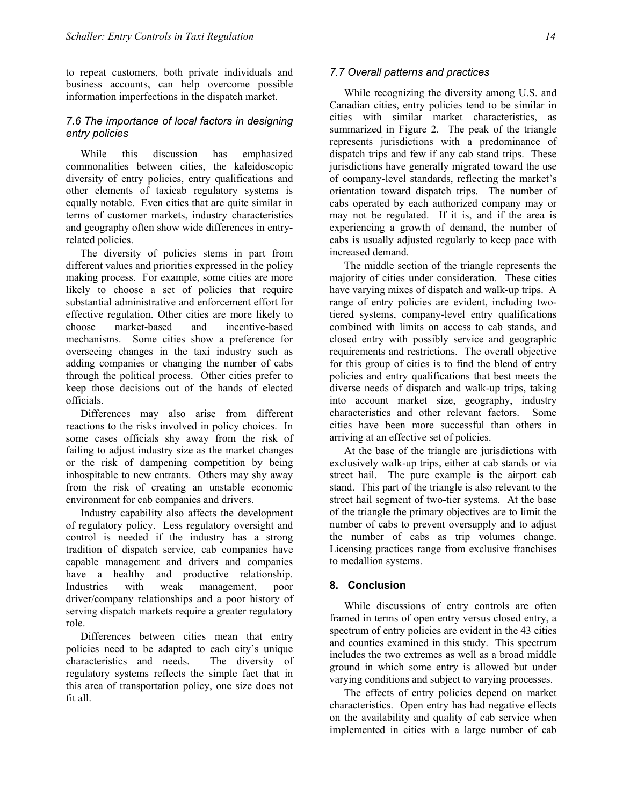to repeat customers, both private individuals and business accounts, can help overcome possible information imperfections in the dispatch market.

## *7.6 The importance of local factors in designing entry policies*

While this discussion has emphasized commonalities between cities, the kaleidoscopic diversity of entry policies, entry qualifications and other elements of taxicab regulatory systems is equally notable. Even cities that are quite similar in terms of customer markets, industry characteristics and geography often show wide differences in entryrelated policies.

The diversity of policies stems in part from different values and priorities expressed in the policy making process. For example, some cities are more likely to choose a set of policies that require substantial administrative and enforcement effort for effective regulation. Other cities are more likely to choose market-based and incentive-based mechanisms. Some cities show a preference for overseeing changes in the taxi industry such as adding companies or changing the number of cabs through the political process. Other cities prefer to keep those decisions out of the hands of elected officials.

Differences may also arise from different reactions to the risks involved in policy choices. In some cases officials shy away from the risk of failing to adjust industry size as the market changes or the risk of dampening competition by being inhospitable to new entrants. Others may shy away from the risk of creating an unstable economic environment for cab companies and drivers.

Industry capability also affects the development of regulatory policy. Less regulatory oversight and control is needed if the industry has a strong tradition of dispatch service, cab companies have capable management and drivers and companies have a healthy and productive relationship. Industries with weak management, poor driver/company relationships and a poor history of serving dispatch markets require a greater regulatory role.

Differences between cities mean that entry policies need to be adapted to each city's unique characteristics and needs. The diversity of regulatory systems reflects the simple fact that in this area of transportation policy, one size does not fit all.

#### *7.7 Overall patterns and practices*

While recognizing the diversity among U.S. and Canadian cities, entry policies tend to be similar in cities with similar market characteristics, as summarized in Figure 2. The peak of the triangle represents jurisdictions with a predominance of dispatch trips and few if any cab stand trips. These jurisdictions have generally migrated toward the use of company-level standards, reflecting the market's orientation toward dispatch trips. The number of cabs operated by each authorized company may or may not be regulated. If it is, and if the area is experiencing a growth of demand, the number of cabs is usually adjusted regularly to keep pace with increased demand.

The middle section of the triangle represents the majority of cities under consideration. These cities have varying mixes of dispatch and walk-up trips. A range of entry policies are evident, including twotiered systems, company-level entry qualifications combined with limits on access to cab stands, and closed entry with possibly service and geographic requirements and restrictions. The overall objective for this group of cities is to find the blend of entry policies and entry qualifications that best meets the diverse needs of dispatch and walk-up trips, taking into account market size, geography, industry characteristics and other relevant factors. Some cities have been more successful than others in arriving at an effective set of policies.

At the base of the triangle are jurisdictions with exclusively walk-up trips, either at cab stands or via street hail. The pure example is the airport cab stand. This part of the triangle is also relevant to the street hail segment of two-tier systems. At the base of the triangle the primary objectives are to limit the number of cabs to prevent oversupply and to adjust the number of cabs as trip volumes change. Licensing practices range from exclusive franchises to medallion systems.

## **8. Conclusion**

While discussions of entry controls are often framed in terms of open entry versus closed entry, a spectrum of entry policies are evident in the 43 cities and counties examined in this study. This spectrum includes the two extremes as well as a broad middle ground in which some entry is allowed but under varying conditions and subject to varying processes.

The effects of entry policies depend on market characteristics. Open entry has had negative effects on the availability and quality of cab service when implemented in cities with a large number of cab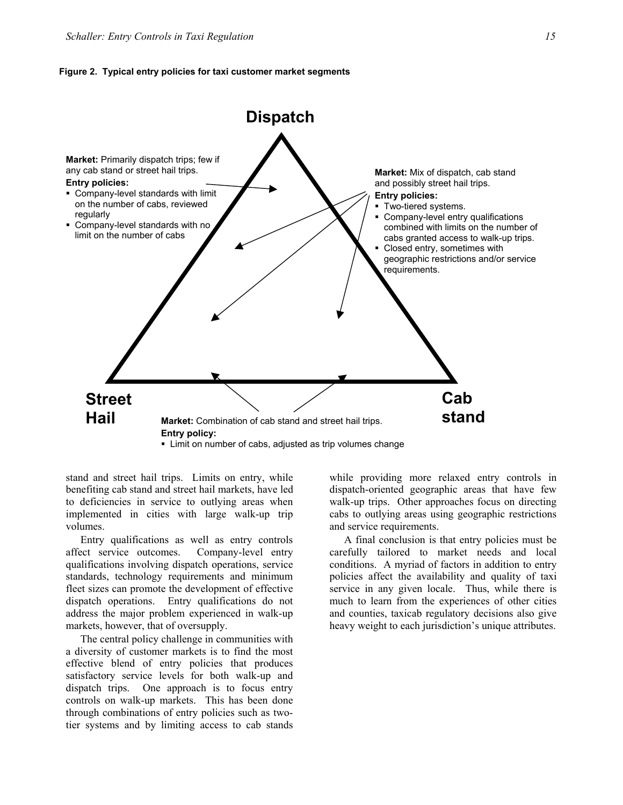#### **Figure 2. Typical entry policies for taxi customer market segments**



stand and street hail trips. Limits on entry, while benefiting cab stand and street hail markets, have led to deficiencies in service to outlying areas when implemented in cities with large walk-up trip volumes.

Entry qualifications as well as entry controls affect service outcomes. Company-level entry qualifications involving dispatch operations, service standards, technology requirements and minimum fleet sizes can promote the development of effective dispatch operations. Entry qualifications do not address the major problem experienced in walk-up markets, however, that of oversupply.

The central policy challenge in communities with a diversity of customer markets is to find the most effective blend of entry policies that produces satisfactory service levels for both walk-up and dispatch trips. One approach is to focus entry controls on walk-up markets. This has been done through combinations of entry policies such as twotier systems and by limiting access to cab stands while providing more relaxed entry controls in dispatch-oriented geographic areas that have few walk-up trips. Other approaches focus on directing cabs to outlying areas using geographic restrictions and service requirements.

A final conclusion is that entry policies must be carefully tailored to market needs and local conditions. A myriad of factors in addition to entry policies affect the availability and quality of taxi service in any given locale. Thus, while there is much to learn from the experiences of other cities and counties, taxicab regulatory decisions also give heavy weight to each jurisdiction's unique attributes.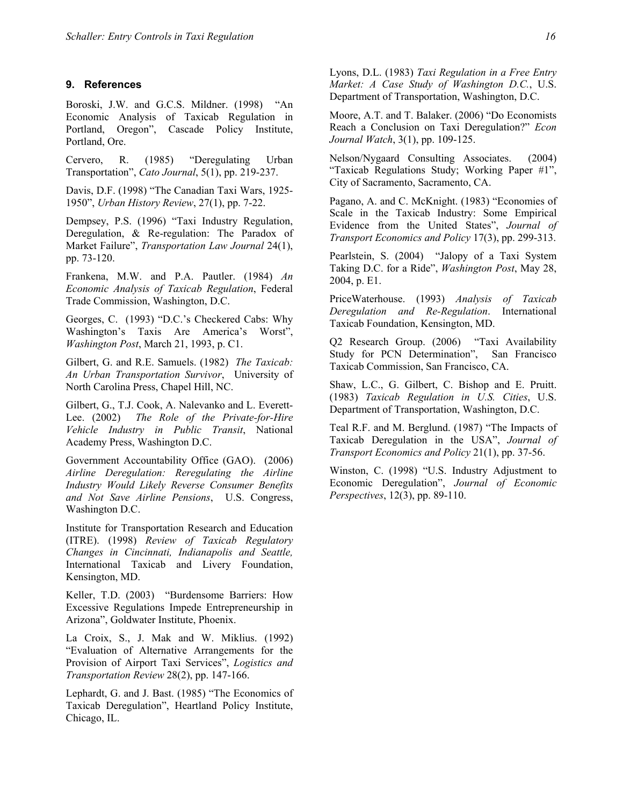#### **9. References**

Boroski, J.W. and G.C.S. Mildner. (1998) "An Economic Analysis of Taxicab Regulation in Portland, Oregon", Cascade Policy Institute, Portland, Ore.

Cervero, R. (1985) "Deregulating Urban Transportation", *Cato Journal*, 5(1), pp. 219-237.

Davis, D.F. (1998) "The Canadian Taxi Wars, 1925- 1950", *Urban History Review*, 27(1), pp. 7-22.

Dempsey, P.S. (1996) "Taxi Industry Regulation, Deregulation, & Re-regulation: The Paradox of Market Failure", *Transportation Law Journal* 24(1), pp. 73-120.

Frankena, M.W. and P.A. Pautler. (1984) *An Economic Analysis of Taxicab Regulation*, Federal Trade Commission, Washington, D.C.

Georges, C. (1993) "D.C.'s Checkered Cabs: Why Washington's Taxis Are America's Worst", *Washington Post*, March 21, 1993, p. C1.

Gilbert, G. and R.E. Samuels. (1982) *The Taxicab: An Urban Transportation Survivor*, University of North Carolina Press, Chapel Hill, NC.

Gilbert, G., T.J. Cook, A. Nalevanko and L. Everett-Lee. (2002) *The Role of the Private-for-Hire Vehicle Industry in Public Transit*, National Academy Press, Washington D.C.

Government Accountability Office (GAO). (2006) *Airline Deregulation: Reregulating the Airline Industry Would Likely Reverse Consumer Benefits and Not Save Airline Pensions*, U.S. Congress, Washington D.C.

Institute for Transportation Research and Education (ITRE). (1998) *Review of Taxicab Regulatory Changes in Cincinnati, Indianapolis and Seattle,* International Taxicab and Livery Foundation, Kensington, MD.

Keller, T.D. (2003) "Burdensome Barriers: How Excessive Regulations Impede Entrepreneurship in Arizona", Goldwater Institute, Phoenix.

La Croix, S., J. Mak and W. Miklius. (1992) "Evaluation of Alternative Arrangements for the Provision of Airport Taxi Services", *Logistics and Transportation Review* 28(2), pp. 147-166.

Lephardt, G. and J. Bast. (1985) "The Economics of Taxicab Deregulation", Heartland Policy Institute, Chicago, IL.

Lyons, D.L. (1983) *Taxi Regulation in a Free Entry Market: A Case Study of Washington D.C.*, U.S. Department of Transportation, Washington, D.C.

Moore, A.T. and T. Balaker. (2006) "Do Economists Reach a Conclusion on Taxi Deregulation?" *Econ Journal Watch*, 3(1), pp. 109-125.

Nelson/Nygaard Consulting Associates. (2004) "Taxicab Regulations Study; Working Paper #1", City of Sacramento, Sacramento, CA.

Pagano, A. and C. McKnight. (1983) "Economies of Scale in the Taxicab Industry: Some Empirical Evidence from the United States", *Journal of Transport Economics and Policy* 17(3), pp. 299-313.

Pearlstein, S. (2004) "Jalopy of a Taxi System Taking D.C. for a Ride", *Washington Post*, May 28, 2004, p. E1.

PriceWaterhouse. (1993) *Analysis of Taxicab Deregulation and Re-Regulation*. International Taxicab Foundation, Kensington, MD.

Q2 Research Group. (2006) "Taxi Availability Study for PCN Determination", San Francisco Taxicab Commission, San Francisco, CA.

Shaw, L.C., G. Gilbert, C. Bishop and E. Pruitt. (1983) *Taxicab Regulation in U.S. Cities*, U.S. Department of Transportation, Washington, D.C.

Teal R.F. and M. Berglund. (1987) "The Impacts of Taxicab Deregulation in the USA", *Journal of Transport Economics and Policy* 21(1), pp. 37-56.

Winston, C. (1998) "U.S. Industry Adjustment to Economic Deregulation", *Journal of Economic Perspectives*, 12(3), pp. 89-110.